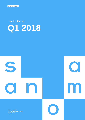

# Interim Report **Q1 2018**

S  $\bigcirc$ 

**Sanoma Corporation** P.O.Box 60, 00089 Sanoma, Finland ID 1524361–1

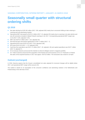#### SANOMA CORPORATION, INTERIM REPORT 1 JANUARY–31 MARCH 2018

## **Seasonally small quarter with structural ordering shifts**

## **Q1 2018**

- Net sales declined to EUR 262 million (2017: 330; adjusted 282) mainly due to structural shifting to later ordering in Learning and soft advertising markets.
- Operational EBIT decreased to EUR 8.2 million (2017: 15; adjusted 20) mainly due to Learning's net sales decline and one-off corrections included in Media Finland's earnings in Q1 2017. Corresponding operational EBIT margin was 3.1% (2017: 4.6%; adjusted 7.2%).
- **EBIT was EUR 8.4 million (2017: -412; adjusted 18).**
- Net financial items decreased significantly to EUR -3 million (2017: -7).
- Operational EPS were EUR 0.02 (2017: 0.04; adjusted 0.06).
- **EPS were EUR 0.02 (2017: -1.74; adjusted 0.05).**
- Cash flow from operations was EUR -37 million (2017: -42; adjusted -40) and capital expenditure was EUR 7 million (2017: 8; adjusted 7).
- **On 16 January Sanoma announced the intention to divest its Belgian women's magazine portfolio.**
- On 7 March Sanoma announced the acquisition of the festival and event business of N.C.D. Production in Finland. Net sales of the acquired business in 2017 was approx. EUR 20 million. The transaction was closed on 18 April.

## **Outlook (unchanged)**

In 2018, Sanoma expects that the Group's consolidated net sales adjusted for structural changes will be slightly below 2017, and operational EBIT margin will be around 14%.

The outlook is based on an assumption of the consumer confidence and advertising markets in the Netherlands and Finland being in line with that of 2017.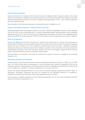#### **Discontinued operations**

Sanoma announced on 16 January 2018 the intention to divest its Belgian women's magazine portfolio. The divested business was consequently classified as Discontinued operations in 2017 financial reporting. All key indicators and income statement related figures presented in this report, including corresponding figures in 2017, cover Continuing operations only unless otherwise stated.

More information on the Discontinued operations' financial performance is available on p. 29.

#### **Impact of the SBS transaction – Adjusted KPIs for Q1 2017**

Sanoma divested the Dutch TV operations of SBS on 19 July 2017. SBS was consolidated in Sanoma's income statement until 30 June 2017 as part of Media BeNe SBU. To enhance comparability between reporting periods, certain comparable adjusted key figures for Q1 2017 for the Group and for Media BeNe are presented in this report. The comparable adjusted figures fully exclude the divested operations of SBS and include 100% of Veronica Uitgeverij and are named as "adjusted".

#### **IFRS 15 restatement**

Sanoma has adopted the new IFRS 15 Revenue from Contracts with Customers as of 1 January 2018 and prepares its financial reports according to the new standard starting from this interim report. IFRS 15 impacts the timing of recognizing revenue and cost. The impact of the new standard on Sanoma Group's annual net sales is considered insignificant, although the phasing over individual quarters will be affected, especially in the Learning SBU. All annual and quarterly financial figures presented in this report have been restated to account for the changes. Adoption of IFRS 15 has no impact on Sanoma's Outlook for 2018 or its long-term financial targets.

More information on the transition to the IFRS 15 standard and its impacts on Sanoma is available in the Accounting principles, p. 20.

#### **Alternative performance measures**

Sanoma presents certain financial performance measures (alternative performance measures or APMs) on a non-IFRS basis. The APMs exclude certain non-operational or non-cash valuation items affecting comparability (IACs) and are provided to reflect the underlying business performance and to enhance comparability from period to period. APMs should not be considered as a substitute for measures of performance in accordance with IFRS.

Sanoma has included Operational EBITDA as a new APM in its financial reporting starting from this interim report. As depreciation, amortization, impairments and IACs are excluded from the Operational EBITDA it is considered to complement other performance measures and provide valuable information to investors.

More information is available at Sanoma.com. Reconciliations are presented on p. 16 in this report. Definitions of key IFRS indicators and APMs are presented on p. 31.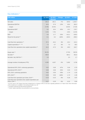## **Key indicators \***

| <b>EUR million</b>                                                      | Q1 2018 | Q1 2017<br>adjusted | <b>Change</b> | Q1 2017  | FY 2017  |
|-------------------------------------------------------------------------|---------|---------------------|---------------|----------|----------|
| Net sales                                                               | 261.6   | 282.2               | $-7%$         | 329.8    | 1,434.7  |
| <b>Operational EBITDA</b>                                               | 44.4    | 57.9                | $-23%$        | 85.8     | 392.3    |
| margin                                                                  | 17.0%   | 20.5%               |               | 26.0%    | 27.3%    |
| <b>Operational EBIT</b>                                                 | 8.2     | 20.4                | $-60%$        | 15.2     | 176.7    |
| margin                                                                  | 3.1%    | 7.2%                |               | 4.6%     | 12.3%    |
| <b>EBIT</b>                                                             | 8.4     | 17.7                | $-53%$        | $-412.1$ | $-240.5$ |
| Result for the period **                                                | $-5.1$  | 8.4                 | $-160%$       | $-420.0$ | $-299.3$ |
|                                                                         |         |                     |               |          |          |
| Cash flow from operations **                                            | $-37.2$ | $-40.4$             | 8%            | $-42.4$  | 141.2    |
| Capital expenditure ** ' ***                                            | 7.2     | 6.7                 | 8%            | 7.5      | 36.5     |
| Cash flow from operations less capital expenditure **                   | $-44.4$ | $-47.0$             | 6%            | $-49.9$  | 104.7    |
|                                                                         |         |                     |               |          |          |
| Equity ratio **                                                         | 34.1%   |                     |               | 27.3%    | 38.2%    |
| Net debt **                                                             | 438.9   |                     |               | 864.2    | 391.8    |
| Net debt / Adj. EBITDA **                                               | 2.0     |                     |               | 3.5      | 1.7      |
|                                                                         |         |                     |               |          |          |
| Average number of employees (FTE)                                       | 4,393   | 4,627               | $-5%$         | 5,002    | 4,746    |
|                                                                         |         |                     |               |          |          |
| Operational EPS, EUR, continuing operations                             | 0.02    | 0.06                | $-67%$        | 0.04     | 0.70     |
| Operational EPS, EUR **                                                 | 0.03    | 0.06                | $-55%$        | 0.04     | 0.72     |
| EPS, EUR, continuing operations                                         | 0.02    | 0.05                | $-58%$        | $-1.74$  | $-1.02$  |
| EPS, EUR **                                                             | $-0.03$ | 0.05                | $-168%$       | $-1.74$  | $-1.00$  |
| Cash flow from operations per share, EUR **                             | $-0.23$ | $-0.25$             | $-8%$         | $-0.26$  | 0.87     |
| Cash flow from operations less capital expenditure per<br>share, EUR ** | $-0.27$ | $-0.29$             | $-6%$         | $-0.31$  | 0.64     |

\* Q1 2017 and FY 2017 figures have been restated due to a change in IFRS 15 and were originally published on 27 March 2018. More information on the restatement is available in Accounting principles on p. 20.

\*\* Including continuing and discontinued operations.

\*\*\* Earlier capital expenditure was presented on an accrual basis.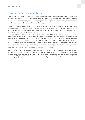## **President and CEO Susan Duinhoven:**

"Sanoma did relatively well in the first quarter. First quarter typically is seasonally the smallest for us both in the media and especially in the learning business. In Learning, we have already during the last years seen some structural shifting in ordering from Q1 to later quarters, and while it moderated slightly last year, this year it accelerated. The learning business has, by nature, an annual cycle with strong seasonality. The business accelerates towards the start of the new school year creating a peak season in the second and especially third quarter.

Softness in advertising markets continued and had an adverse impact on our media businesses. Profitability of Media BeNe improved – mostly thanks to the actions we have taken to adjust our operations to the post-SBS scale and reduced complexity. In Media Finland, the comparable earnings (excluding the one-off correction in Q1 2017) declined somewhat following the negative advertising sales development.

We progressed on our strategic path during the quarter with two recent transactions. The divestment of our Belgian women's magazine portfolio is going as planned; agreement with our social partners and employee representatives has been reached and the transaction is expected to be finalized early Q3 2018. In Finland, we acquired the festival and events business of N.C.D. Production and strengthened our cross-media entertainment proposition. Live events is a growing market with above average profitability compared to media industry in general. This acquisition is a very good example of our growth strategy: a bolt-on acquisition that complements our existing businesses and creates advantages for advertisers, consumers and the creative talent. We will integrate our existing events business into the acquired business and our enhanced offering opens up new opportunities for our customers.

During 2018, the pattern of our business and financial performance will be different compared to previous year with more emphasis on the second half of the year. On the cost side, we expect to see some higher increase in paper costs compared to last years, especially for the newsprint in Finland. We see interesting business opportunities and continue to improve profitability in our SBUs. We continue to focus on our long-term strategy of synergetic bolt-on acquisitions and increasing dividend, and our outlook for this year remains unchanged."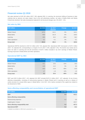## **Financial review Q1 2018**

Net sales declined to EUR 262 million (2017: 330; adjusted 282). In Learning, the structural shifting of business to later ordering had an adverse net sales impact. Due to the soft advertising markets, net sales of Media BeNe and Media Finland also declined. Net sales development adjusted for all structural changes was -6% (2017: -1%).

#### **Net sales by SBU**

| <b>EUR million</b> | Q1 2018 | Q1 2017<br>adjusted | <b>Change</b> | Q1 2017 |
|--------------------|---------|---------------------|---------------|---------|
| Media Finland      | 137.0   | 144.1               | $-5%$         | 144.1   |
| Media BeNe         | 95.8    | 101.9               | $-6%$         | 149.5   |
| Learning           | 28.9    | 36.2                | $-20%$        | 36.2    |
| Other operations   | $-0.1$  | $-0.1$              | $0\%$         | $-0.1$  |
| <b>Group total</b> | 261.6   | 282.2               | $-7%$         | 329.8   |

Operational EBITDA declined to EUR 44 million (2017: 86; adjusted 58). Operational EBIT decreased to EUR 8 million (2017: 15; adjusted 20), corresponding to a margin of 3.1% (2017: 4.6%; adjusted 7.2%). The decline was mainly due to lower net sales in Learning and one-off corrections of EUR 4 million included in Q1 2017 earnings of Media Finland. Earnings improved in Media BeNe and Other operations.

#### **Operational EBIT by SBU**

| <b>EUR million</b> | Q1 2018 | Q1 2017<br>adjusted | <b>Change</b> | Q1 2017 |
|--------------------|---------|---------------------|---------------|---------|
| Media Finland      | 13.1    | 19.0                | $-31%$        | 19.0    |
| Media BeNe         | 14.9    | 14.2                | 5%            | 8.9     |
| Learning           | $-18.0$ | $-10.9$             | $-66%$        | $-10.9$ |
| Other operations   | $-1.7$  | $-1.9$              | 12%           | $-1.9$  |
| <b>Group total</b> | 8.2     | 20.4                | $-60%$        | 15.2    |

EBIT was EUR 8 million (2017: -412; adjusted 18). EBIT included EUR 0.2 million (2017: -427; adjusted -3) net of items affecting comparability, consisting of restructuring expenses in Media Finland and in Learning as well as a release of earlier provision for unused office space in Media BeNe. In Q1 2017, IACs mainly consisted of the capital loss related to the divestment of SBS.

#### **Items affecting comparability and reconciliation of operational EBIT**

| <b>EUR million</b>                  | Q1 2018 | Q1 2017  |
|-------------------------------------|---------|----------|
| <b>EBIT</b>                         | 8.4     | $-412.1$ |
| Items affecting comparability       |         |          |
| Restructuring expenses              | 0.2     | $-3.6$   |
| Capital gains / losses              |         | $-423.7$ |
| Items affecting comparability total | 0.2     | $-427.3$ |
| <b>Operational EBIT</b>             | 8.2     | 15.2     |

A detailed reconciliation on SBU level is presented in p. 16.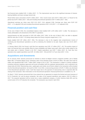Net financial items totalled EUR -3 million (2017: -7). The improvement was due to the significant decrease of interestbearing liabilities and lower average interest rate.

Result before taxes amounted to EUR 5 million (2017: -419). Income taxes were EUR 2 million (2017: 2). Result for the period was EUR 4 million (2017: -420) and including Discontinued operations EUR -5 million (2017: -420).

Operational earnings per share were EUR 0.02 (2017: 0.04; adjusted 0.06). Earnings per share were EUR 0.02 (2017: -1.74; adjusted 0.05) and including Discontinued operations EUR -0.03 (2017: -1.74; adjusted 0.05).

#### **Financial position and cash flow**

At the end of March 2018, the consolidated balance sheet totalled EUR 1,578 million (2017: 2,168). The decrease is mainly attributable to the divestment of the SBS TV operations.

Interest-bearing net debt amounted to EUR 439 million (2017: 864). At the end of March 2018, net debt to adjusted EBITDA ratio was 2.0 (2017: 3.5) being clearly below the Group's long-term target level (< 2.5).

Equity totalled EUR 487 million (2017: 550). The decrease is due to the negative total comprehensive income of continuing and discontinued operations as well as declaring the dividend to be paid. Equity ratio was 34.1% (2017: 27.3%).

In January–March 2018, the Group's cash flow from operations was EUR -37 million (2017: -42). The positive impact of lower net financial items was partially offset by lower profitability and higher taxes paid, which were mostly related to the real estate sale in Helsinki, Finland in Q4 2017. Capital expenditure was EUR 7 million (2017: 8). Cash flow from operations less capital expenditure was EUR -44 million (2017: -50) and EUR -0.27 per share (2017: -0.31).

## **Acquisitions and divestments**

On 16 January 2018, Sanoma announced an intention to divest its Belgian women's magazine portfolio, part of Media BeNe SBU, to Roularta Media Group. Enterprise value of the divested assets is EUR 34 million. Net sales were EUR 81 million and operational EBIT EUR 7 million (EBIT margin 8.1%) in 2017. The transaction is subject to closing conditions including customary regulatory approvals and social consultation with the employee representatives, and is expected to be closed early Q3 2018. Restructuring costs, capital gains and similar one-off items related to the transaction will be booked into the Discontinued operations' net result for 2018. In Q1 2018, a restructuring provision of EUR 17 million was disclosed in the Discontinued operations' result. Cash flow impact due to the payment of restructuring costs is expected after the closing of the transaction. More information on the Discontinued operations' financial performance is available on p. 29.

On March 7 2018, Sanoma announced that it has entered into an agreement to acquire the festival and event business of N.C.D Production Ltd. and its group companies. Net sales of the acquired operations were approx. EUR 20 million in 2017. The acquired operations will be moved into a newly established company, of which Sanoma holds 60% and the current owner of N.C.D Production the remainder. The transaction was closed in April 2018.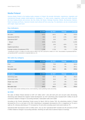## **Media Finland**

Sanoma Media Finland is the leading media company in Finland. We provide information, experiences, inspiration and entertainment through multiple media platforms: newspapers, TV, radio, events, magazines, online and mobile channels. We have leading brands and services, like Aku Ankka, Me Naiset, Helsingin Sanomat, Oikotie, Ilta-Sanomat, Nelonen, Radio Suomipop and Ruutu. Sanoma's brands reach almost all Finns every day. For advertisers, we are a trusted partner with insight, impact and reach.

#### **Key indicators**

| <b>EUR million</b>                | Q1 2018 | Q1 2017 | <b>Change</b> | FY 2017 |
|-----------------------------------|---------|---------|---------------|---------|
| Net sales                         | 137.0   | 144.1   | $-5%$         | 570.4   |
| <b>Operational EBITDA</b>         | 35.8    | 42.9    | $-17%$        | 155.7   |
| <b>Operational EBIT</b>           | 13.1    | 19.0    | $-31%$        | 65.5    |
| Margin                            | 9.5%    | 13.2%   |               | 11.5%   |
| EBIT <sup>*</sup>                 | 11.6    | 19.6    | $-41%$        | 71.8    |
| Capital expenditure               | 1.8     | 1.0     | 79%           | 6.4     |
| Average number of employees (FTE) | 1.709   | 1.719   | $-1%$         | 1,744   |

\* Including IAC of EUR -1.5 million in Q1 2018, EUR 0.5 million in Q1 2017 and EUR 6.2 million in FY 2017. Reconciliation of operational EBITDA and operational EBIT is presented in a separate table on p. 16.

#### **Net sales by category**

| <b>EUR million</b> | Q1 2018 | Q1 2017 | <b>Change</b> | <b>FY 2017</b> |
|--------------------|---------|---------|---------------|----------------|
| Print              | 76.5    | 78.9    | $-3%$         | 313.3          |
| Non-print          | 60.5    | 65.2    | $-7%$         | 257.1          |
| Net sales total    | 137.0   | 144.1   | $-5%$         | 570.4          |

| <b>EUR million</b> | Q1 2018 | Q1 2017 | <b>Change</b> | <b>FY 2017</b> |
|--------------------|---------|---------|---------------|----------------|
| Advertising sales  | 62.0    | 67.2    | $-8%$         | 263.4          |
| Subscription sales | 53.2    | 53.6    | $-1\%$        | 211.9          |
| Single copy sales  | 11.1    | 10.7    | 3%            | 44.3           |
| Other              | 10.7    | 12.6    | $-15%$        | 50.8           |
| Net sales total    | 137.0   | 144.1   | $-5%$         | 570.4          |

Other sales mainly include marketing services, event marketing, custom publishing, books and printing.

#### **Q1 2018**

Net sales of Media Finland declined to EUR 137 million (2017: 144) with both print and non-print sales decreasing. Advertising sales followed the negative market development. Q1 2017 advertising sales included EUR 3 million of one-off corrections related to changes in accounting estimates. Subscription sales were stable.

According to the Finnish Advertising Trends survey for March 2018 by Kantar TNS, the advertising market in Finland decreased by 2% on a net basis in Q1 2018. Advertising in newspapers decreased by 12%, in magazines by 7% and in radio by 4%, whereas advertising on TV increased by 1% and online excluding search and social media by 7%.

Operational EBIT decreased to EUR 13 million (2017: 19). Q1 2017 operational EBIT included one-off corrections of EUR 4 million related to changes in accounting estimates. Declining net sales had an adverse impact on earnings.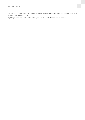EBIT was EUR 12 million (2017: 20). Items affecting comparability included in EBIT totalled EUR -1 million (2017: 1) and consisted of restructuring expenses.

Capital expenditure totalled EUR 2 million (2017: 1) and consisted mainly of maintenance investments.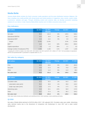## **Media BeNe**

Sanoma Media BeNe includes the Dutch consumer media operations and the press distribution business Aldipress. We have a leading cross media portfolio with strong brands and market positions in magazines, news, events, custom media, e-commerce, websites and apps. Through combining content and customer data, we develop successful marketing solutions for our clients. In total, Sanoma Media BeNe reaches over 12 million consumers every month.

#### **Key indicators**

| <b>EUR million</b>                | Q1 2018 | Q1 2017<br>adjusted | <b>Change</b> | Q1 2017  | FY 2017  |
|-----------------------------------|---------|---------------------|---------------|----------|----------|
| Net sales                         | 95.8    | 101.9               | $-6%$         | 149.5    | 546.4    |
| <b>Operational EBITDA</b>         | 16.3    | 16.4                | $-0\%$        | 44.3     | 141.0    |
| <b>Operational EBIT</b>           | 14.9    | 14.2                | 5%            | 8.9      | 65.8     |
| margin                            | 15.5%   | 13.9%               |               | 6.0%     | 12.0%    |
| EBIT <sup>*</sup>                 | 16.9    | 14.2                | 19%           | $-408.4$ | $-366.0$ |
| Capital expenditure               | 0.9     | 1.3                 | $-30%$        | 2.1      | 4.0      |
| Average number of employees (FTE) | 1.054   | 1.183               | $-11%$        | 1.557    | 1,316    |

\* Including IAC of EUR 2.0 million in Q1 2018, EUR -424.6 million in Q1 2017 and EUR -437.1 million in FY 2017. Full reconciliation of operational EBITDA and operational EBIT is presented in a separate table on p. 16.

#### **Net sales by category**

| <b>EUR million</b> | Q1 2018 | Q1 2017<br>adjusted | <b>Change</b> | Q1 2017 | FY 2017 |
|--------------------|---------|---------------------|---------------|---------|---------|
| Print              | 60.6    | 63.6                | $-5%$         | 63.6    | 262.0   |
| Non-print          | 24.8    | 27.3                | $-9%$         | 74.9    | 236.0   |
| Other              | 10.4    | 11.0                | $-5%$         | 11.0    | 48.4    |
| Net sales total    | 95.8    | 101.9               | $-6%$         | 149.5   | 546.4   |

| <b>EUR million</b>         | Q1 2018 | Q1 2017<br>adjusted | <b>Change</b> | Q1 2017 | FY 2017 |
|----------------------------|---------|---------------------|---------------|---------|---------|
| Circulation sales          | 53.3    | 54.3                | $-2\%$        | 54.3    | 219.7   |
| subscription sales (print) | 36.4    | 36.8                | $-1\%$        | 36.8    | 144.2   |
| single copy sales (print)  | 16.9    | 17.5                | $-4%$         | 17.5    | 75.5    |
| Advertising sales          | 15.8    | 20.1                | $-22%$        | 58.9    | 172.5   |
| Other                      | 26.7    | 27.4                | $-3%$         | 36.3    | 154.2   |
| Net sales total            | 95.8    | 101.9               | $-6\%$        | 149.5   | 546.4   |

Other sales mainly include press distribution and marketing services, event marketing, custom publishing and books.

#### **Q1 2018**

Net sales of Media BeNe declined to EUR 96 million (2017: 150; adjusted 102). Circulation sales were stable. Advertising sales declined mainly due to the divestment of comparison site Kieskeurig.nl in June 2017 and a weak market development.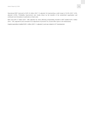Operational EBIT improved to EUR 15 million (2017: 9; adjusted 14) representing a solid margin of 15.5% (2017: 6.0%; adjusted 13.9%). Profitability improvement was mostly driven by the benefits of the streamlined organisation and continued cost innovations in particular on fixed costs.

EBIT was EUR 17 million (2017: -408; adjusted 14). Items affecting comparability included in EBIT totalled EUR 2 million (2017: -425; adjusted 0) and consisted of an adjustment of provision for unused office space in the Netherlands.

Capital expenditure totalled EUR 1 million (2017: 2; adjusted 1) and was related to ICT development.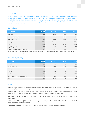## **Learning**

Sanoma Learning is one of Europe's leading learning companies, serving some 10 million pupils and one million teachers. Through our multi-channel learning solutions we help to engage pupils in achieving good learning outcomes, and support the effective work of the professional teachers in primary, secondary and vocational education. Through our local companies, we contribute to some of the world's best-performing education systems including Poland, the Netherlands, Finland, Belgium and Sweden.

#### **Key indicators**

| <b>EUR million</b>                | Q1 2018  | Q1 2017   | Change  | FY 2017 |
|-----------------------------------|----------|-----------|---------|---------|
| Net sales                         | 28.9     | 36.2      | $-20%$  | 318.3   |
| <b>Operational EBITDA</b>         | $-7.3$   | $-0.7$    | $-975%$ | 100.0   |
| <b>Operational EBIT</b>           | $-18.0$  | $-10.9$   | $-66%$  | 55.6    |
| margin                            | $-62.2%$ | $-30.0\%$ |         | 17.5%   |
| EBIT <sup>*</sup>                 | $-18.4$  | $-11.4$   | $-61%$  | 43.9    |
| Capital expenditure               | 3.5      | 3.3       | 5%      | 19.2    |
| Average number of employees (FTE) | 1,353    | 1,442     | $-6%$   | 1,401   |

\* Including IAC of EUR -0.4 million in Q1 2018, EUR -0.6 million in Q1 2017 and EUR -11.7 million in FY 2017. Reconciliation of operational EBITDA and operational EBIT is presented in a separate table on p. 16.

#### **Net sales by country**

| <b>EUR million</b>               | Q1 2018 | Q1 2017 | Change | FY 2017 |
|----------------------------------|---------|---------|--------|---------|
| Poland                           | 5.1     | 4.3     | 17%    | 100.0   |
| The Netherlands                  | 11.6    | 20.4    | $-43%$ | 91.6    |
| Finland                          | 5.6     | 4.7     | 18%    | 52.4    |
| Sweden                           | 3.5     | 3.5     | $-2%$  | 22.5    |
| Belgium                          | 3.2     | 3.2     | $-1%$  | 52.2    |
| Other companies and eliminations | 0.0     | 0.0     | $0\%$  | $-0.4$  |
| Net sales total                  | 28.9    | 36.2    | $-20%$ | 318.3   |

#### **Q1 2018**

Net sales of Learning declined to EUR 29 million (2017: 36) due to significantly lower sales in the Netherlands, where the traditional spring orders are structurally moving from Q1 to later quarters.

The learning business has, by nature, an annual cycle with strong seasonality. The first and fourth quarters are typically loss-making, while most of net sales and earnings are accrued during the second and third quarters.

Operational EBIT decreased to EUR -18 million (2017: -11) mostly due to the structural shift of net sales in the Netherlands.

EBIT was EUR -18 million (2017: -11). Items affecting comparability included in EBIT totalled EUR -0.4 million (2017: -1) and consisted of restructuring expenses.

Capital expenditure was EUR 4 million (2017: 3) and consisted of investments in digital platforms and ICT.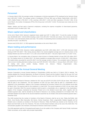#### **Personnel**

In January–March 2018, the average number of employees in full-time equivalents (FTE) employed by the Sanoma Group was 4,393 (2017: 5,002). The average number of employees (FTE) per SBU was as follows: Media BeNe 1,054 (2017: 1,557), Media Finland 1,709 (2017: 1,719), Learning 1,353 (2017: 1,442) and Other operations 278 (2017: 284). At the end of March, the number of employees (FTE) of the Group was 4,415 (2017: 5,010). The decrease was mostly due to the divestments.

Wages, salaries and fees paid to Sanoma's employees, including the expense recognition of share-based payments, amounted to EUR 78 million (2017: 89).

#### **Share capital and shareholders**

At the end of March 2018, Sanoma's registered share capital was EUR 71 million (2017: 71) and the number of shares was 163,565,663 (2017: 162,812,093) including a total of 161,293 (2017: 316,519) own shares. Own shares represented 0.1% (2017: 0.2) of all Sanoma shares and votes. The number of outstanding shares excluding Sanoma's own shares was 163,404,370 (2017: 162,495,574).

Sanoma had 20,255 (2017: 21,780) registered shareholders at the end of March 2018.

## **Share trading and performance**

At the end of March 2018, Sanoma's market capitalisation was EUR 1,556 million (2017: 1,275) with Sanoma's share closing at EUR 9.53 (2017: 7.85). During January–March, the volume-weighted average price of a Sanoma share on the Nasdaq Helsinki was EUR 10.20 (2017: 8.17), with a low of EUR 8.55 (2017: 7.62) and a high of EUR 11.47 (2017: 8.91).

In January-March, the cumulative value of Sanoma's share turnover on Nasdaq Helsinki Ltd was EUR 105 million (2017: 81). The trading volume of 10 million (2017: 10) shares equalled an average daily turnover of 163k (2017: 155k) shares. The traded shares accounted for some 6% (2017: 6) of the average number of shares. The cumulative value of Sanoma's share turnover including alternative trading venues was EUR 263 (2017: 204) million. In January-March, 60% (2017: 60) of all trading took place outside Nasdaq Helsinki Ltd. (Source: Fidessa Fragmentation Index, www.fragmentation.fidessa.com).

## **Decisions of the Annual General Meeting**

Sanoma Corporation's Annual General Meeting of Shareholders (AGM) was held on 22 March 2018 in Helsinki. The meeting adopted the Financial Statements, the Board of Directors' Report and the Auditors' Report for the year 2017 and discharged the members of the Board of Directors as well as the President and CEO from liability for the financial year 2017.

As proposed by the Board of Directors, dividend for 2017 was set at EUR 0.35 (2016: EUR 0.20) per share. The dividend shall be paid in two instalments. The first instalment of EUR 0.20 per share shall be paid to a shareholder who is registered in the shareholders' register of the Company maintained by Euroclear Finland Ltd on the dividend record date 26 March 2018. The payment date for this instalment is 4 April 2018. The second instalment of EUR 0.15 per share shall be paid in November 2018.The second instalment shall be paid to a shareholder who is registered in the shareholders' register of the Company maintained by Euroclear Finland Ltd on the dividend record date, which, together with the dividend payment date, shall be decided by the Board of Directors in its meeting scheduled for 23 October 2018. The estimated dividend record date for the second instalment would then be 25 October 2018 and the dividend payment date 1 November 2018.

The AGM resolved that the number of members of the Board of Directors shall be set at nine. Pekka Ala-Pietilä, Antti Herlin, Anne Brunila, Mika Ihamuotila, Nils Ittonen, Denise Koopmans, Robin Langenskiöld, Rafaela Seppälä and Kai Öistämö were re-elected as members of the Board of Directors. Pekka Ala-Pietilä was elected as the Chairman of the Board and Antti Herlin as the Vice Chairman. The term of all the Board members ends at the end of the AGM 2019. The remuneration payable to the members of the Board of Directors shall remain as before.

The AGM appointed audit firm PricewaterhouseCoopers Oy as the auditor of the Company with Samuli Perälä, Authorised Public Accountant, as the auditor with principal responsibility.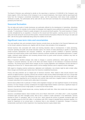The Board of Directors was authorised to decide on the repurchase a maximum of 16,000,000 of the Company's own shares (approx. 9.8% of all shares of the Company) in one or several instalments. Own shares shall be repurchased with funds from the Company's unrestricted shareholders' equity, and the repurchases shall reduce funds available for distribution of profits. The authorisation will be valid until 30 June 2019 and it terminates the corresponding authorisation granted by the AGM 2017.

## **Seasonal fluctuation**

The net sales and results of media businesses are particularly affected by the development of advertising. Advertising sales are influenced, for example, by the number of newspaper and magazine issues published each quarter, which varies annually. TV advertising in Finland is usually strongest in the second and fourth quarters. The events business in Finland, recently strengthened by an acquisition, is focused on the second and third quarters. Learning accrues most of its net sales and results during the second and third quarters. Seasonal business fluctuations influence the Group's net sales and EBIT, with the first quarter traditionally being clearly the smallest one for both.

## **Significant near-term risks and uncertainties**

The most significant risks and uncertainty factors Sanoma currently faces are described in the Financial Statements and on the Group's website at Sanoma.com, together with the Group's main principles of risk management.

General business risks associated with media and learning industries relate to developments in media advertising, consumer spending and public and private education spend. The volume of media advertising in specific is sensitive to overall economic development and consumer confidence. The general economic conditions in Sanoma's operating countries and overall industry trends could influence Sanoma's business activities and operational performance. In paper supply, continued market tightness and increasing demand driven by good overall economic conditions may have an adverse impact on paper prices.

Many of Sanoma's identified strategic risks relate to changes in customer preferences, which apply not only to the changes in consumer behaviour, but also to the direct and indirect impacts on the behaviour of business-to-business customers. The driving forces behind these changes are the on-going digitisation and mobilisation and the decrease of viewing time of free-to-air TV. Sanoma takes actions in all its strategic business units to respond to these challenges.

With regard to changing customer preferences, digitisation and mobilisation, new entrants might be able to better utilise these changes and therefore gain market share from Sanoma's established businesses.

Privacy and data protection are an integral part of Sanoma's business. Risks related to data security become more relevant as digital business is growing. Sanoma has invested in data security related technologies and runs a Group-wide privacy programme to ensure that employees know how to apply data security and privacy practices in their daily work. Regulatory changes regarding the use of subscriber and customer data could have a negative impact on Sanoma's ability to acquire subscribers for its content and to utilize data in its business.

Sanoma faces political risks in particular in Poland, where legislative changes can have significant impacts on the learning business. EU level changes currently considered for the Digital Single Market Initiative could have a significant impact on Sanoma's cost efficient access to high quality TV content for the Finnish market.

Sanoma's financial risks include interest rate, currency, liquidity and credit risks. Other risks include risks related to equity and impairment of assets.

Sanoma's consolidated balance sheet included at the end of March 2018 EUR 1,178 million (2017: 1,215) of goodwill, immaterial rights and other intangible assets. Most of this is related to media operations in the Netherlands. Sanoma divested its Dutch TV operations, SBS, on 19 July 2017, which reduced the amount of goodwill, immaterial rights and other intangible assets by EUR 916 million. In accordance with IFRS, instead of goodwill being amortised regularly, it is tested for impairment on an annual basis, or whenever there is any indication of impairment. Changes in business fundamentals could lead to further impairment, thus impacting Sanoma's equity-related ratios.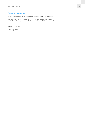## **Financial reporting**

Sanoma will publish the following financial reports during the course of the year:

Half-Year Report January–June 2018 24 July 2018 approx. at 8:30 Interim Report January–September 2018 24 October 2018 approx. at 8:30

Helsinki, 26 April 2018

Board of Directors Sanoma Corporation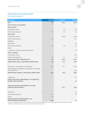## **Reconciliation of operational EBIT**

## Continuing operations

| <b>EUR million</b>                                                              | Q1 2018 | Q1 2017  | FY 2017  |
|---------------------------------------------------------------------------------|---------|----------|----------|
| <b>EBIT</b>                                                                     | 8.4     | $-412.1$ | $-240.5$ |
| Items affecting comparability                                                   |         |          |          |
| <b>Media Finland</b>                                                            |         |          |          |
| Capital gains /losses                                                           |         | 0.9      | 10.8     |
| Restructuring expenses                                                          | $-1.5$  | $-0.4$   | $-4.5$   |
| <b>Media BeNe</b>                                                               |         |          |          |
| Capital gains /losses *                                                         |         | $-424.6$ | $-424.9$ |
| Restructuring expenses                                                          | 2.0     |          | $-12.1$  |
| Learning                                                                        |         |          |          |
| Impairments                                                                     |         |          | $-7.8$   |
| Restructuring expenses                                                          | $-0.4$  | $-0.6$   | $-6.2$   |
| <b>Others</b>                                                                   |         |          |          |
| Settlement of defined benefit pension plans                                     |         |          | 2.3      |
| <b>Other companies</b>                                                          |         |          |          |
| Capital gains /losses                                                           |         |          | 25.8     |
| Restructuring expenses                                                          | 0.0     | $-2.7$   | $-0.5$   |
| <b>ITEMS AFFECTING COMPARABILITY</b>                                            | 0.2     | $-427.3$ | $-417.2$ |
| OPERATIONAL EBIT, CONTINUING OPERATIONS                                         | 8.2     | 15.2     | 176.7    |
|                                                                                 |         |          |          |
| Depreciation, amortization and impairments                                      | 36.2    | 70.7     | 191.0    |
| Items affecting comparability in depreciation, amortization<br>and impairments  |         |          | $-24.6$  |
| OPERATIONAL EBITDA, CONTINUING OPERATIONS                                       | 44.4    | 85.8     | 392.3    |
|                                                                                 |         |          |          |
| Impairments                                                                     |         |          | $-0.1$   |
| <b>ITEMS AFFECTING COMPARABILITY IN FINANCIAL</b><br><b>INCOME AND EXPENSES</b> |         |          | $-0.1$   |
|                                                                                 |         |          |          |
| <b>ITEMS AFFECTING COMPARABILITY IN NON-</b><br><b>CONTROLLING INTEREST *</b>   |         | 137.7    | 138.4    |
|                                                                                 |         |          |          |
| Impairments                                                                     |         |          | $-2.5$   |
| Restructuring expenses                                                          | $-17.7$ |          | $-0.5$   |
| <b>Others</b>                                                                   | 3.6     |          |          |
| <b>ITEMS AFFECTING COMPARABILITY IN</b><br><b>DISCONTINUED OPERATIONS</b>       | $-14.0$ |          | $-3.1$   |

\* In 2017, the capital loss of EUR -424.2 million and a EUR 138.3 million adjustment in non-controlling interests were related to the SBS divestment. Total impact of the transaction in the net result was -286.2 million.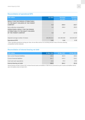## **Reconciliation of operational EPS**

| <b>EUR million</b>                                                                    | Q1 2018     | <b>Restated</b><br>Q1 2017 | <b>Restated</b><br><b>FY 2017</b> |
|---------------------------------------------------------------------------------------|-------------|----------------------------|-----------------------------------|
| <b>RESULT FOR THE PERIOD ATTRIBUTABLE</b><br>TO THE EQUITY HOLDERS OF THE PARENT      |             |                            |                                   |
| <b>COMPANY</b>                                                                        | $-5.4$      | $-282.0$                   | $-162.7$                          |
| Items affecting comparability *                                                       | 9.8         | 288.8                      | 280.5                             |
| <b>OPERATIONAL RESULT FOR THE PERIOD</b><br><b>ATTRIBUTABLE TO THE EQUITY HOLDERS</b> |             |                            |                                   |
| OF THE PARENT COMPANY                                                                 | 4.4         | 6.7                        | 117.8                             |
|                                                                                       |             |                            |                                   |
| Adjusted average number of shares                                                     | 163,302,611 | 162,389,388                | 162,544,637                       |
| <b>Operational EPS</b>                                                                | 0.03        | 0.04                       | 0.72                              |
|                                                                                       |             |                            |                                   |

\* When calculating operational earnings per share, the tax effect and the non-controlling interests' share of the items affecting comparability has been deducted.

## **Reconciliation of interest-bearing net debt**

| <b>EUR million</b>                | 31 Mar 2018 | 31 Mar 2017 | 31 Dec 2017 |
|-----------------------------------|-------------|-------------|-------------|
| Non-current financial liabilities | 196.8       | 364.9       | 196.3       |
| Current financial liabilities     | 261.7       | 543.3       | 216.1       |
| Cash and cash equivalents         | $-19.6$     | $-44.0$     | $-20.6$     |
| Interest-bearing net debt         | 438.9       | 864.2       | 391.8       |

Interest-bearing net debt 31 March 2017 includes financial assets and liabilities of SBS that are presented as part of assets and liabilities held for sale in the balance sheet 31 March 2017.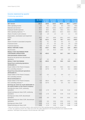## **Income statement by quarter**

## Continuing operations

| <b>EUR million</b>                                                                         | Q1 2018 | <b>Restated</b> | <b>Restated</b> | <b>Restated</b> | <b>Restated</b> | <b>Restated</b> |
|--------------------------------------------------------------------------------------------|---------|-----------------|-----------------|-----------------|-----------------|-----------------|
|                                                                                            |         | Q1 2017         | Q2 2017         | Q3 2017         | Q4 2017         | FY 2017         |
| <b>NET SALES</b>                                                                           | 261.6   | 329.8           | 418.5           | 380.8           | 305.7           | 1,434.7         |
| Other operating income                                                                     | 6.2     | 8.3             | 16.0            | 6.0             | 34.4            | 64.8            |
| Materials and services *                                                                   | $-88.3$ | $-98.3$         | $-129.9$        | $-131.3$        | $-109.7$        | $-469.2$        |
| Employee benefit expenses                                                                  | $-77.7$ | $-89.3$         | $-89.3$         | $-78.4$         | $-83.1$         | $-340.1$        |
| Other operating expenses ***                                                               | $-58.3$ | $-492.9$        | $-104.1$        | $-64.4$         | $-82.8$         | $-744.1$        |
| Share of results in joint ventures                                                         | 1.0     | 1.0             | 1.3             | 1.0             | 1.1             | 4.4             |
| Depreciation, amortisation and impairment                                                  |         |                 |                 |                 |                 |                 |
| losses                                                                                     | $-36.2$ | $-70.7$         | $-40.8$         | $-35.1$         | $-44.3$         | $-191.0$        |
| <b>EBIT</b>                                                                                | 8.4     | $-412.1$        | 71.8            | 78.7            | 21.2            | $-240.5$        |
| Share of results in associated companies                                                   | 0.1     | 0.1             | 0.9             | 0.2             | 0.1             | 1.4             |
| Financial income                                                                           | 1.2     | 4.7             | 5.5             | 0.8             | 1.8             | 12.9            |
| Financial expenses                                                                         | $-4.5$  | $-11.3$         | $-10.0$         | $-5.4$          | $-9.4$          | $-36.2$         |
| <b>RESULT BEFORE TAXES</b>                                                                 | 5.1     | $-418.7$        | 68.2            | 74.3            | 13.8            | $-262.4$        |
| Income taxes                                                                               | $-1.5$  | $-1.5$          | $-21.3$         | $-18.6$         | 2.2             | $-39.1$         |
| <b>RESULT FOR THE PERIOD FROM</b><br><b>CONTINUING OPERATIONS</b>                          | 3.6     | $-420.2$        | 46.9            | 55.7            | 16.0            | $-301.6$        |
| <b>DISCONTINUED OPERATIONS</b>                                                             |         |                 |                 |                 |                 |                 |
| Result for the period from discontinued                                                    |         |                 |                 |                 |                 |                 |
| operations                                                                                 | $-8.7$  | 0.2             | 2.3             | 0.9             | $-1.2$          | 2.3             |
| <b>RESULT FOR THE PERIOD</b>                                                               | $-5.1$  | $-420.0$        | 49.2            | 56.6            | 14.8            | $-299.3$        |
| <b>Result from continuing operations</b><br>attributable to:                               |         |                 |                 |                 |                 |                 |
| Equity holders of the Parent Company                                                       | 3.2     | $-282.3$        | 45.9            | 55.3            | 16.2            | $-165.0$        |
| Non-controlling interests **                                                               | 0.4     | $-137.9$        | 1.1             | 0.4             | $-0.2$          | $-136.6$        |
| <b>Result from discontinued operations</b><br>attributable to:                             |         |                 |                 |                 |                 |                 |
| Equity holders of the Parent Company                                                       | $-8.7$  | 0.2             | 2.3             | 0.9             | $-1.2$          | 2.3             |
| Non-controlling interests                                                                  |         |                 |                 |                 |                 |                 |
| <b>Result attributable to:</b>                                                             |         |                 |                 |                 |                 |                 |
| Equity holders of the Parent Company                                                       | $-5.4$  | $-282.0$        | 48.1            | 56.2            | 15.0            | $-162.7$        |
| Non-controlling interests **                                                               | 0.4     | $-137.9$        | 1.1             | 0.4             | $-0.2$          | $-136.6$        |
| Earnings per share for result attributable to<br>the equity holders of the Parent Company: |         |                 |                 |                 |                 |                 |
| Earnings per share, EUR, continuing<br>operations                                          | 0.02    | $-1.74$         | 0.28            | 0.34            | 0.10            | $-1.02$         |
| Diluted earnings per share, EUR, continuing<br>operations                                  | 0.02    | $-1.74$         | 0.28            | 0.34            | 0.10            | $-1.02$         |
| Earnings per share, EUR, discontinued                                                      |         |                 |                 |                 |                 |                 |
| operations                                                                                 | $-0.05$ | 0.0             | 0.01            | 0.01            | $-0.01$         | 0.01            |
| Diluted earnings per share, EUR, discontinued                                              |         |                 |                 |                 |                 |                 |
| operations                                                                                 | $-0.05$ | 0.0             | 0.01            | 0.01            | $-0.01$         | 0.01            |
| Earnings per share, EUR                                                                    | $-0.03$ | $-1.74$         | 0.30            | 0.35            | 0.09            | $-1.00$         |
| Diluted earnings per share, EUR                                                            | $-0.03$ | $-1.74$         | 0.30            | 0.34            | 0.09            | $-1.00$         |

\* Sales and commission costs directly related to sales transferred from Other operating expenses to Materials and services.

\*\* In 2017, the capital loss of EUR -424.2 million and a EUR 138.3 million adjustment in non-controlling interests were related to the SBS divestment. Total impact of the transaction in the net result was -286.2 million.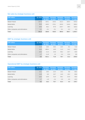## **Net sales by strategic business unit**

| <b>EUR million</b>               | Q1 2018 | <b>Restated</b><br>Q1 2017 | <b>Restated</b><br>Q <sub>2</sub> 2017 | <b>Restated</b><br>Q3 2017 | <b>Restated</b><br>Q4 2017 | <b>Restated</b><br><b>FY 2017</b> |
|----------------------------------|---------|----------------------------|----------------------------------------|----------------------------|----------------------------|-----------------------------------|
| Media Finland                    | 137.0   | 144.1                      | 144.5                                  | 131.3                      | 150.4                      | 570.4                             |
| Media BeNe                       | 95.8    | 149.5                      | 176.1                                  | 103.9                      | 116.9                      | 546.4                             |
| Learning                         | 28.9    | 36.2                       | 97.9                                   | 145.7                      | 38.5                       | 318.3                             |
| Other companies and eliminations | $-0.1$  | $-0.1$                     | $-0.1$                                 | $-0.1$                     | $-0.2$                     | $-0.4$                            |
| <b>Total</b>                     | 261.6   | 329.8                      | 418.5                                  | 380.8                      | 305.7                      | 1,434.7                           |

## **EBIT by strategic business unit**

| <b>EUR million</b>               | Q1 2018 | <b>Restated</b><br>Q1 2017 | <b>Restated</b><br>Q <sub>2</sub> 2017 | <b>Restated</b><br>Q3 2017 | <b>Restated</b><br>Q4 2017 | <b>Restated</b><br><b>FY 2017</b> |
|----------------------------------|---------|----------------------------|----------------------------------------|----------------------------|----------------------------|-----------------------------------|
| Media Finland                    | 11.6    | 19.6                       | 30.5                                   | 13.5                       | 8.2                        | 71.8                              |
| Media BeNe                       | 16.9    | $-408.4$                   | 16.9                                   | 11.3                       | 14.2                       | $-366.0$                          |
| Learning                         | $-18.4$ | $-11.4$                    | 22.8                                   | 56.2                       | $-23.7$                    | 43.9                              |
| Other companies and eliminations | $-1.7$  | $-11.8$                    | 1.5                                    | $-2.4$                     | 22.6                       | 9.8                               |
| <b>Total</b>                     | 8.4     | $-412.1$                   | 71.8                                   | 78.7                       | 21.2                       | $-240.5$                          |

## **Operational EBIT by strategic business unit**

| <b>EUR million</b>               | Q1 2018 | <b>Restated</b><br>Q1 2017 | <b>Restated</b><br>Q <sub>2</sub> 2017 | <b>Restated</b><br>Q3 2017 | <b>Restated</b><br>Q4 2017 | <b>Restated</b><br><b>FY 2017</b> |
|----------------------------------|---------|----------------------------|----------------------------------------|----------------------------|----------------------------|-----------------------------------|
| Media Finland                    | 13.1    | 19.0                       | 22.4                                   | 14.2                       | 9.8                        | 65.5                              |
| Media BeNe                       | 14.9    | 8.9                        | 23.7                                   | 14.0                       | 19.2                       | 65.8                              |
| Learning                         | $-18.0$ | $-10.9$                    | 31.9                                   | 56.1                       | $-21.6$                    | 55.6                              |
| Other companies and eliminations | $-1.7$  | $-1.9$                     | $-2.4$                                 | $-2.9$                     | $-3.0$                     | $-10.2$                           |
| <b>Total</b>                     | 8.2     | 15.2                       | 75.7                                   | 81.4                       | 4.4                        | 176.7                             |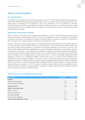## **Interim report (unaudited)**

#### **Accounting policies**

The Sanoma Group prepared its Interim Report in accordance with IAS 34 'Interim Financial Reporting' while adhering to related IFRS standards and interpretations applicable within the EU on 31 March 2018. The accounting policies of the Interim Report, the definitions of key indicators as well as the explanations of use and definitions of Alternative Performance Measures (APMs) are presented on the Sanoma website at Sanoma.com. All figures have been rounded and consequently the sum of individual figures can deviate from the presented sum figure. Key figures have been calculated using exact figures.

#### **Applied new and amended standards**

IFRS 15 Revenue from Contracts with Customers and Clarifications to IFRS 15 (both effective for financial periods beginning on or after 1 January 2018). Under IFRS 15 revenue is recognised at an amount that reflects the consideration to which an entity expects to be entitled in exchange for transferring goods or services to a customer. The principles in IFRS 15 provide a more structured approach to measuring and recognising revenue.

Sanoma's main revenue streams include magazine and newspaper publishing (circulation sales and advertising sales), TV and Radio operations, online and mobile revenues and learning solutions. For all revenue streams contract reviews of the key revenue contracts were documented. In magazines and newspaper publishing, the main impact of IFRS 15 is the need to identify additional performance obligations in cases of providing gifts as premiums to new subscribers, which are recognized at a point in time. TV and Radio revenue recognition is strongly linked to individual performance obligations, hence the impact of IFRS15 is limited. In learning solutions, the main impacts of IFRS 15 are related to revenues of hybrid products (combining print and digital products). In some cases, there is a need to acknowledge multiple performance obligations, which are to be recognised at different moments (over time or at a point in time), depending on the characteristics of the performance obligations. The impact of IFRS 15 on the Group's annual net sales is insignificant, although the phasing over individual quarters is affected. Sanoma has applied the full retrospective method when adopting IFRS 15 as of January 1, 2018. The cumulative effect of applying IFRS 15 has been recognized in opening balance of retained earnings as at January 1, 2017. The impact on comparison figures presented in the comprehensive income statement 2017 were disclosed in a separate release. The impact on comparison figures related to the balance sheet and cash flow statement are shown in the following tables.

#### **IFRS 15 impact on consolidated balance sheet**

| <b>EUR million</b>                   | 31 Mar 2017 | 31 Dec 2017 |
|--------------------------------------|-------------|-------------|
| <b>ASSETS</b>                        |             |             |
| Deferred tax receivables             | 0.3         | 0.6         |
| Trade and other receivables          | 0.1         | 0.3         |
| <b>ASSETS, TOTAL</b>                 | 0.4         | 0.9         |
| <b>EQUITY AND LIABILITIES</b>        |             |             |
| EQUITY, TOTAL                        | $-3.1$      | $-7.4$      |
| Deferred tax liabilities             | 0.3         | 0.3         |
| Income tax liabilities               | $-1.1$      | $-2.1$      |
| Trade and other payables             | 4.4         | 10.2        |
| <b>EQUITY AND LIABILITIES, TOTAL</b> | 0.4         | 0.9         |
|                                      |             |             |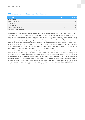#### **IFRS 15 impact on consolidated cash flow statement**

| <b>EUR million</b>               | Q1 2017                  | <b>FY 2017</b> |
|----------------------------------|--------------------------|----------------|
| <b>OPERATIONS</b>                |                          |                |
| Result for the period            | 3.1                      | $-1.2$         |
| Adjustments                      |                          |                |
| Income taxes                     |                          | 1.1            |
| Change in working capital        | $-4.1$                   | 1.5            |
| <b>Cash flow from operations</b> | $\overline{\phantom{a}}$ |                |
|                                  |                          |                |

IFRS 9 Financial Instruments and changes there to (effective for periods beginning on or after 1 January 2018). IFRS 9 replaced IAS 39 Financial Instruments: Recognition and Measurement. The standard includes updated principles for classification and measurement of financial assets and liabilities and a new model for estimating impairments of financial assets based on expected credit losses. In addition, the regulations related to hedge accounting have been revised. In Sanoma, applying the standard changed the process of booking impairment allowances for trade receivables, the classification of financial assets as well as the accounting for modifications of financial liabilities. A more detailed description of the effect of applying IFRS 9 can be found in the accounting policies of Financial Statements for 2017. Sanoma did not apply the standard retrospectively but adjusted the 1 January 2018 opening balance for the effects of the standard instead. The impact of applying IFRS 9 is insignificant for Sanoma Group.

Amendments to IFRS 2 Share-based Payment – Classification and Measurement of Share-based Payment Transactions (effective for periods beginning on or after 1 January 2018). The amendments cover three accounting areas: measurement of cash-settled share-based payments, classification of share-based payments settled net of tax withholdings and accounting for a modification of a share-based payment from cash-settled to equity-settled. Sanoma has share-based payment transactions with net settlement features for withholding tax obligations and the amendments had an impact on Group's financial statements. According to the amendments Sanoma's share-based payment transactions with net settlement features are treated as equity-settled in entirety. Sanoma reclassified the recognised liability from liabilities to equity in the 1 January 2018 opening balance sheet.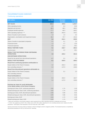#### **Consolidated income statement**

## Continuing operations

| <b>EUR million</b>                                                                         | Q1 2018 | <b>Restated</b><br>Q1 2017 | <b>Restated</b><br>FY 2017 |
|--------------------------------------------------------------------------------------------|---------|----------------------------|----------------------------|
| <b>NET SALES</b>                                                                           | 261.6   | 329.8                      | 1,434.7                    |
| Other operating income                                                                     | 6.2     | 8.3                        | 64.8                       |
| Materials and services *                                                                   | $-88.3$ | $-98.3$                    | $-469.2$                   |
| Employee benefit expenses                                                                  | $-77.7$ | $-89.3$                    | $-340.1$                   |
| Other operating expenses ***                                                               | $-58.3$ | $-492.9$                   | $-744.1$                   |
| Share of results in joint ventures                                                         | 1.0     | 1.0                        | 4.4                        |
| Depreciation, amortisation and impairment losses                                           | $-36.2$ | $-70.7$                    | $-191.0$                   |
| <b>EBIT</b>                                                                                | 8.4     | $-412.1$                   | $-240.5$                   |
| Share of results in associated companies                                                   | 0.1     | 0.1                        | 1.4                        |
| Financial income                                                                           | 1.2     | 4.7                        | 12.9                       |
| <b>Financial expenses</b>                                                                  | $-4.5$  | $-11.3$                    | $-36.2$                    |
| <b>RESULT BEFORE TAXES</b>                                                                 | 5.1     | $-418.7$                   | $-262.4$                   |
| Income taxes                                                                               | $-1.5$  | $-1.5$                     | $-39.1$                    |
| <b>RESULT FOR THE PERIOD FROM CONTINUING</b><br><b>OPERATIONS</b>                          | 3.6     | $-420.2$                   | $-301.6$                   |
| <b>DISCONTINUED OPERATIONS</b>                                                             |         |                            |                            |
| Result for the period from discontinued operations                                         | $-8.7$  | 0.2                        | 2.3                        |
| <b>RESULT FOR THE PERIOD</b>                                                               | $-5.1$  | $-420.0$                   | $-299.3$                   |
| Result from continuing operations attributable to:                                         |         |                            |                            |
| Equity holders of the Parent Company                                                       | 3.2     | $-282.3$                   | $-165.0$                   |
| Non-controlling interests **                                                               | 0.4     | $-137.9$                   | $-136.6$                   |
| Result from discontinued operations attributable to:                                       |         |                            |                            |
| Equity holders of the Parent Company                                                       | $-8.7$  | 0.2                        | 2.3                        |
| Non-controlling interests                                                                  |         |                            |                            |
| <b>Result attributable to:</b>                                                             |         |                            |                            |
| Equity holders of the Parent Company                                                       | $-5.4$  | $-282.0$                   | $-162.7$                   |
| Non-controlling interests **                                                               | 0.4     | $-137.9$                   | $-136.6$                   |
|                                                                                            |         |                            |                            |
| Earnings per share for result attributable<br>to the equity holders of the Parent Company: |         |                            |                            |
| Earnings per share, EUR, continuing operations                                             | 0.02    | $-1.74$                    | $-1.02$                    |
| Diluted earnings per share, EUR, continuing operations                                     | 0.02    | $-1.74$                    | $-1.02$                    |
| Earnings per share, EUR, discontinued operations                                           | $-0.05$ | 0.00                       | 0.01                       |
| Diluted earnings per share, EUR, discontinued operations                                   | $-0.05$ | 0.00                       | 0.01                       |
| Earnings per share, EUR                                                                    | $-0.03$ | $-1.74$                    | $-1.00$                    |
| Diluted earnings per share, EUR                                                            | $-0.03$ | $-1.74$                    | $-1.00$                    |

\* Sales and commission costs directly related to sales transferred from Other operating expenses to Materials and services.

\*\* In 2017, the capital loss of EUR -424.2 million and a EUR 138.3 million adjustment in non-controlling interests were related to the SBS divestment. Total impact of the transaction in the net result was -286.2 million.

Sanoma announced 16 January 2018 an intention to divest its Belgian women's magazine portfolio. The divested business is classified as discontinued operations for the Q1 2018 and 2017 reporting.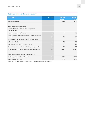## **Statement of comprehensive income \***

| <b>EUR million</b>                                                   | Q1 2018 | <b>Restated</b><br>Q1 2017 | <b>Restated</b><br>FY 2017 |
|----------------------------------------------------------------------|---------|----------------------------|----------------------------|
| <b>Result for the period</b>                                         | $-5.1$  | $-420.0$                   | $-299.3$                   |
|                                                                      |         |                            |                            |
| Other comprehensive income:                                          |         |                            |                            |
| Items that may be reclassified subsequently<br>to profit or loss     |         |                            |                            |
| Change in translation differences                                    | $-0.3$  | 4.9                        | 2.7                        |
| Share of other comprehensive income of equity-accounted<br>investees | 0.0     | 0.1                        | 0.0                        |
| Items that will not be reclassified to profit or loss                |         |                            |                            |
| Defined benefit plans                                                | $-2.3$  | 5.5                        | 6.9                        |
| Income tax related to defined benefit plans                          | 0.7     | $-1.2$                     | $-1.9$                     |
| Other comprehensive income for the period, net of tax                | $-2.0$  | 9.2                        | 7.7                        |
| <b>TOTAL COMPREHENSIVE INCOME FOR THE PERIOD</b>                     | $-7.0$  | $-410.7$                   | $-291.6$                   |
|                                                                      |         |                            |                            |
| Total comprehensive income attributable to:                          |         |                            |                            |
| Equity holders of the Parent Company                                 | $-7.4$  | $-272.8$                   | $-155.0$                   |
| Non-controlling interests                                            | 0.4     | $-137.9$                   | $-136.6$                   |

\* Statement of comprehensive income includes both continuing and discontinued operations.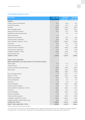#### **Consolidated balance sheet**

| <b>EUR million</b>                                                                                                | 31 Mar 2018 | <b>Restated</b><br>31 Mar 2017 | <b>Restated</b><br>31 Dec 2017 |
|-------------------------------------------------------------------------------------------------------------------|-------------|--------------------------------|--------------------------------|
| <b>ASSETS</b>                                                                                                     |             |                                |                                |
| Property, plant and equipment                                                                                     | 43.4        | 52.8                           | 44.7                           |
| Investment property                                                                                               | 13.9        | 24.3                           | 13.9                           |
| Goodwill                                                                                                          | 935.0       | 951.0                          | 934.6                          |
| Other intangible assets                                                                                           | 243.4       | 263.8                          | 251.1                          |
| Equity-accounted investees                                                                                        | 22.1        | 22.1                           | 20.8                           |
| Available-for-sale financial assets                                                                               |             | 5.0                            | 4.0                            |
| Other investments                                                                                                 | 5.1         |                                |                                |
| Deferred tax receivables                                                                                          | 22.2        | 29.5                           | 18.0                           |
| Trade and other receivables                                                                                       | 22.5        | 20.9                           | 22.7                           |
| NON-CURRENT ASSETS, TOTAL                                                                                         | 1,307.5     | 1,369.3                        | 1,309.8                        |
| Inventories                                                                                                       | 45.5        | 45.1                           | 40.5                           |
| Income tax receivables                                                                                            | 11.5        | 8.6                            | 6.9                            |
| Trade and other receivables                                                                                       | 191.5       | 200.6                          | 209.9                          |
| Cash and cash equivalents                                                                                         | 19.6        | 22.6                           | 20.6                           |
| <b>CURRENT ASSETS, TOTAL</b>                                                                                      | 268.0       | 276.9                          | 277.8                          |
| Assets held for sale                                                                                              | 2.8         | 521.6                          | 2.4                            |
| <b>ASSETS, TOTAL</b>                                                                                              | 1,578.3     | 2,167.8                        | 1,590.1                        |
| <b>EQUITY AND LIABILITIES</b><br>Equity attributable to the equity holders of the Parent Company<br>Share capital | 71.3        | 71.3                           | 71.3                           |
| Treasury shares                                                                                                   | $-0.7$      | $-1.4$                         | $-1.4$                         |
| Fund for invested unrestricted equity                                                                             | 209.8       | 203.3                          | 209.8                          |
| Other equity                                                                                                      | 205.3       | 126.4                          | 265.8                          |
|                                                                                                                   | 485.6       | 399.6                          | 545.4                          |
| Non-controlling interests                                                                                         | 1.5         | 150.7                          | 1.7                            |
| EQUITY, TOTAL                                                                                                     | 487.1       | 550.3                          | 547.1                          |
| Deferred tax liabilities                                                                                          | 37.3        | 40.3                           | 38.5                           |
| Pension obligations                                                                                               | 12.1        | 8.2                            | 9.7                            |
| Provisions                                                                                                        | 8.0         | 6.9                            | 9.0                            |
| <b>Financial liabilities</b>                                                                                      | 196.8       | 322.9                          | 196.3                          |
| Trade and other payables                                                                                          | 13.9        | 10.4                           | 19.7                           |
| NON-CURRENT LIABILITIES, TOTAL                                                                                    | 268.1       | 388.7                          | 273.3                          |
| Provisions                                                                                                        | 29.3        | 15.0                           | 17.1                           |
| <b>Financial liabilities</b>                                                                                      | 261.7       | 543.3                          | 216.1                          |
| Income tax liabilities                                                                                            | 8.9         | 11.7                           | 13.0                           |
| Trade and other payables                                                                                          | 512.9       | 480.2                          | 513.0                          |
| <b>CURRENT LIABILITIES, TOTAL</b>                                                                                 | 812.8       | 1,050.2                        | 759.2                          |
| Liabilities related to assets held for sale                                                                       | 10.4        | 178.7                          | 10.6                           |
| <b>LIABILITIES, TOTAL</b>                                                                                         | 1,091.2     | 1,617.6                        | 1,043.0                        |
| <b>EQUITY AND LIABILITIES, TOTAL</b>                                                                              | 1,578.3     | 2,167.8                        | 1,590.1                        |

Includes continuing and discontinued operations.

On 31 March 2018, assets held for sale included Belgian women's magazine operations portfolio, which was classified as discontinued operations in December 2017. On 31 March 2017, assets held for sale included SBS that was classified as assets held for sale in March 2017.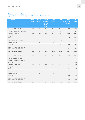#### **Changes in consolidated equity**

Equity attributable to the equity holders of the Parent Company

| <b>EUR million</b>                                             | <b>Share</b><br>capital | <b>Treasury</b><br><b>shares</b> | <b>Fund for</b><br>invested<br>unres-<br>tricted<br>equity | <b>Other</b><br>equity | <b>Total</b> | Non-<br>controlling<br><b>interests</b> | Equity,<br>total |
|----------------------------------------------------------------|-------------------------|----------------------------------|------------------------------------------------------------|------------------------|--------------|-----------------------------------------|------------------|
| Equity at 31 Dec 2016                                          | 71.3                    | $-2.1$                           | 203.3                                                      | 440.5                  | 713.0        | 289.5                                   | 1,002.5          |
| Effect of IFRS 15 on 1 Jan 2017                                |                         |                                  |                                                            | $-6.1$                 | $-6.1$       |                                         | $-6.1$           |
| Equity at 1 Jan 2017                                           | 71.3                    | $-2.1$                           | 203.3                                                      | 434.4                  | 706.8        | 289.5                                   | 996.4            |
| Comprehensive income for the<br>period                         |                         |                                  |                                                            | $-272.8$               | $-272.8$     | $-137.9$                                | $-410.7$         |
| Share-based compensation                                       |                         |                                  |                                                            | 0.5                    | 0.5          |                                         | 0.5              |
| Shares delivered                                               |                         | 0.7                              |                                                            | $-0.7$                 |              |                                         |                  |
| Dividends paid                                                 |                         |                                  |                                                            | $-32.6$                | $-32.6$      | $-0.5$                                  | $-33.1$          |
| Acquisitions and other changes<br>in non-controlling interests |                         |                                  |                                                            | $-2.4$                 | $-2.4$       | $-0.4$                                  | $-2.7$           |
| Equity at 31 March 2017                                        | 71.3                    | $-1.4$                           | 203.3                                                      | 126.4                  | 399.6        | 150.7                                   | 550.3            |
|                                                                |                         |                                  |                                                            |                        |              |                                         |                  |
| Equity at 31 Dec 2017                                          | 71.3                    | $-1.4$                           | 209.8                                                      | 265.8                  | 545.4        | 1.7                                     | 547.1            |
| Effect of IFRS 9 on 1 Jan 2018                                 |                         |                                  |                                                            | 1.1                    | 1.1          |                                         | 1.1              |
| Effect of amendments to IFRS 2<br>on 1 Jan 2018                |                         |                                  |                                                            | 5.8                    | 5.8          |                                         | 5.8              |
| Equity at 1 Jan 2018                                           | 71.3                    | $-1.4$                           | 209.8                                                      | 272.7                  | 552.3        | 1.7                                     | 553.9            |
| Comprehensive income for the<br>period                         |                         |                                  |                                                            | $-7.4$                 | $-7.4$       | 0.4                                     | $-7.0$           |
| Share-based compensation                                       |                         |                                  |                                                            | $-0.5$                 | $-0.5$       |                                         | $-0.5$           |
| Shares delivered                                               |                         | 0.7                              |                                                            | $-0.7$                 |              |                                         |                  |
| Dividends paid                                                 |                         |                                  |                                                            | $-57.2$                | $-57.2$      | $-0.3$                                  | $-57.5$          |
| Acquisitions and other changes<br>in non-controlling interests |                         |                                  |                                                            | $-1.5$                 | $-1.5$       | $-0.3$                                  | $-1.8$           |
| Equity at 31 March 2018                                        | 71.3                    | $-0.7$                           | 209.8                                                      | 205.3                  | 485.6        | 1.5                                     | 487.1            |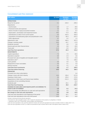#### **Consolidated cash flow statement**

| <b>EUR million</b>                                                             | Q1 2018 | <b>Restated</b><br>Q1 2017 | <b>Restated</b><br>FY 2017 |
|--------------------------------------------------------------------------------|---------|----------------------------|----------------------------|
| <b>OPERATIONS</b>                                                              |         |                            |                            |
| Result for the period                                                          | $-5.1$  | $-420.0$                   | $-299.3$                   |
| Adjustments                                                                    |         |                            |                            |
| Income taxes                                                                   | $-2.0$  | 1.7                        | 40.5                       |
| Financial income and expenses                                                  | 3.4     | 6.6                        | 23.2                       |
| Share of results in equity-accounted investees                                 | $-1.1$  | $-1.1$                     | $-5.7$                     |
| Depreciation. amortisation and impairment losses                               | 36.2    | 71.0                       | 195.1                      |
| Gains/losses on sales of non-current assets                                    | $-0.3$  | 423.3                      | 420.3                      |
| Acquisitions of broadcasting rights and prepublication costs                   | $-21.3$ | $-65.3$                    | $-167.2$                   |
| Other adjustments                                                              | 0.7     | 0.2                        | 1.1                        |
| Adjustments, total                                                             | 15,4    | 436.4                      | 507.2                      |
| Change in working capital                                                      | $-34.3$ | $-43.7$                    | $-17.0$                    |
| Dividends received                                                             | 0.0     | 0.0                        | 5.5                        |
| Interest paid and other financial items                                        | $-2.0$  | $-9.6$                     | $-20.5$                    |
| Taxes paid                                                                     | $-11.2$ | $-5.5$                     | $-34.7$                    |
| <b>Cash flow from operations</b>                                               | $-37.2$ | $-42.4$                    | 141.2                      |
| <b>INVESTMENTS</b>                                                             |         |                            |                            |
| Capital expenditure                                                            | $-7.2$  | $-7.5$                     | $-36.5$                    |
| Operations acquired                                                            | 0.0     | $-2.3$                     | $-4.6$                     |
| Proceeds from sale of tangible and intangible assets *                         | 0.4     | 0.5                        | 47.6                       |
| Operations sold **                                                             |         | 7.5                        | 238.2                      |
| Loans granted                                                                  | 0.0     | 0.0                        | 0.0                        |
| Repayments of loan receivables                                                 | 0.0     | 0.1                        | 0.3                        |
| Interest received                                                              | 0.1     | 0.1                        | 0.3                        |
| <b>Cash flow from investments</b>                                              | $-6.8$  | $-1.7$                     | 245.2                      |
| <b>Cash flow before financing</b>                                              | $-44.0$ | $-44.2$                    | 386.4                      |
| <b>FINANCING</b>                                                               |         |                            |                            |
| Proceeds from share subscriptions                                              |         |                            | 6.4                        |
| Change in loans with short maturity                                            | 43.4    | 159.4                      | $-217.8$                   |
| Drawings of other loans                                                        | 0.0     | 125.0                      | 172.5                      |
| Repayments of other loans and finance lease liabilities                        | $-0.1$  | $-212.3$                   | $-326.6$                   |
| Acquisitions of non-controlling interests                                      | $-2.0$  |                            | $-11.2$                    |
| Dividends paid                                                                 | $-0.3$  | $-33.1$                    | $-34.1$                    |
| <b>Cash flow from financing</b>                                                | 41.1    | 39.0                       | $-410.7$                   |
| CHANGE IN CASH AND CASH EQUIVALENTS ACCORDING TO<br><b>CASH FLOW STATEMENT</b> | $-2.9$  | $-5.2$                     | $-24.3$                    |
| Effect of exchange rate differences on cash and cash equivalents               | $-0.4$  | 0.4                        | $-0.2$                     |
| Net change in cash and cash equivalents                                        | $-3.2$  | $-4.8$                     | $-24.5$                    |
| Cash and cash equivalents at the beginning of the period                       | 18.6    | 43.1                       | 43.1                       |
| Cash and cash equivalents at the end of the period                             | 15.3    | 38.2                       | 18.6                       |

Includes continuing and discontinued operations.

\* Proceeds from sale of tangible assets in 2017 include the divestment of the property at Ludviginkatu in Helsinki.

\*\* Operations sold in 2017 include SBS, Sanoma Baltics and Kieskeurig.nl.

Cash and cash equivalents in the cash flow statement include cash and cash equivalents less bank overdrafts of EUR 4.2 million (2017: 5.7). Cash and cash equivalents of EUR 21.4 million are presented as part of assets held for sale in the balance sheet 31 March 2017.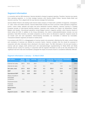## **Segment information**

In connection with the SBS divestment, Sanoma decided to change its segment reporting. Therefore, Sanoma now reports three operating segments, i.e. its three strategic business units Sanoma Media Finland, Sanoma Media BeNe and Sanoma Learning. This is aligned with the way Sanoma manages the businesses.

Sanoma Media Finland is the leading multi-channel media company in Finland with a portfolio of magazines, newspapers, TV, radio, online and mobile channels. Sanoma Media BeNe includes the Dutch consumer media operations (magazines, Events, custom media, websites and apps) and press distribution business Aldipress. Sanoma Learning is a leading European provider of multi-channel learning solutions. Learning's main markets are Poland, the Netherlands, Finland, Belgium and Sweden. Discontinued operations include Belgian women's magazine portfolio, which Sanoma intends to divest during Q3 2018. In addition to the Group eliminations, the column unallocated/eliminations includes non-core operations, head office functions, real estate companies as well as items not allocated to segments. Segment assets do not include cash and cash equivalents, interest-bearing receivables, tax receivables or deferred tax receivables. Transactions between segments are based on market prices.

In accordance with IFRS 15, a disaggregation of revenue needs to be presented, reflecting how the nature, amount timing and uncertainty of revenues are affected by economic factors. Sanoma considers that this should be assessed in conjunction with other information that is disclosed in the interim report. The SBU information in the text part includes a revenue split per category (both print/non-print and subscription/single copy/advertising for Media BeNe and Media Finland) and per country for Learning. In conjunction with the segment information as well as the risks described in the 'significant near-term risks and uncertainties' paragraph the impact of economic factors is considered sufficiently reflected.

| <b>EUR</b> million                                     | <b>Media</b><br><b>Finland</b> | <b>BeNe</b> | <b>Media Learning</b> | Unallocated/<br>eliminations | operations    | <b>Continuing Discontinued Eliminations</b><br>operations |        | <b>Total</b>     |
|--------------------------------------------------------|--------------------------------|-------------|-----------------------|------------------------------|---------------|-----------------------------------------------------------|--------|------------------|
| External net sales                                     | 136.9                          | 95.8        | 28.9                  |                              | 261.6         | 17.7                                                      |        | 279.3            |
| Internal net sales                                     | 0.1                            |             | 0.0                   | $-0.1$                       |               | 0.2                                                       | $-0.2$ |                  |
| Net sales, total                                       | 137.0                          | 95.8        | 28.9                  | $-0.1$                       | 261.6         | 17.9                                                      | $-0.2$ | 279.3            |
| <b>EBIT</b>                                            | 11.6                           | 16.9        | $-18.4$               | $-1.7$                       | 8.4           | $-12.2$                                                   |        | $-3.8$           |
| <b>Operational EBIT</b>                                | 13.1                           | 14.9        | $-18.0$               | $-1.7$                       | 8.2           | 1.8                                                       |        | 10.0             |
| Share of results in<br>associated<br>companies         | 0.1                            |             |                       |                              | 0.1           |                                                           |        | 0.1              |
| Financial income                                       |                                |             |                       | 1.2                          | 1.2           |                                                           |        | 1.2              |
| Financial<br>expenses<br><b>Result before</b><br>taxes |                                |             |                       | $-4.5$                       | $-4.5$<br>5.1 | $-12.2$                                                   |        | $-4.5$<br>$-7.1$ |
| <b>Segment assets</b>                                  | 230.6                          | 744.3       | 673.9                 | $-127.2$                     | 1,521.6       | 1.6                                                       |        | 1,523.2          |

#### **Segment information 1 January – 31 March 2018**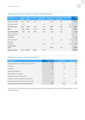| <b>EUR million</b>                             | <b>Media</b><br><b>Finland</b> | <b>Media</b><br><b>BeNe</b> | Learning | Unallocated/<br>eliminations | operations | <b>Continuing Discontinued Eliminations</b><br>operations |        | <b>Total</b> |
|------------------------------------------------|--------------------------------|-----------------------------|----------|------------------------------|------------|-----------------------------------------------------------|--------|--------------|
| External net sales                             | 144.1                          | 149.5                       | 36.2     |                              | 329.8      | 19.1                                                      |        | 348.9        |
| Internal net sales                             | 0.1                            |                             |          | $-0.1$                       |            | 0.2                                                       | $-0.2$ |              |
| Net sales, total                               | 144.1                          | 149.5                       | 36.2     | $-0.1$                       | 329.8      | 19.3                                                      | $-0.2$ | 348.9        |
| <b>EBIT</b>                                    | 19.6                           | $-408.4$                    | $-11.4$  | $-11.8$                      | $-412.1$   | 0.4                                                       |        | $-411.7$     |
| <b>Operational EBIT</b>                        | 19.0                           | 8.9                         | $-10.9$  | $-1.9$                       | 15.2       | 0.4                                                       |        | 15.5         |
| Share of results in<br>associated<br>companies | 0.0                            | 0.0                         |          |                              | 0.1        |                                                           |        | 0.1          |
| Financial income                               |                                |                             |          | 4.7                          | 4.7        | 0.0                                                       | 0.0    | 4.7          |
| Financial<br>expenses                          |                                |                             |          | $-11.3$                      | $-11.3$    |                                                           | 0.0    | $-11.3$      |
| <b>Result before</b><br>taxes                  |                                |                             |          |                              | $-418.7$   | 0.4                                                       |        | $-418.2$     |
| <b>Segment assets</b>                          |                                | 251.4 1,290.0               | 520.6    | 42.1                         |            |                                                           |        | 2,104.0      |

## **Segment information 1 January – 31 March 2017 (Restated)**

## **Changes in property, plant and equipment**

| <b>EUR million</b>                             | 31 Mar 2018 | 31 Mar 2017 | 31 Dec 2017 |
|------------------------------------------------|-------------|-------------|-------------|
| Carrying amount at the beginning of the period | 44.7        | 57.8        | 57.8        |
| <b>Increases</b>                               | 2.0         | 1.0         | 8.7         |
| Decreases                                      | $-0.2$      | $-0.3$      | $-3.3$      |
| Disposal of operations                         |             |             | $-2.7$      |
| Depreciation for the period                    | $-3.1$      | $-3.9$      | $-14.2$     |
| Impairment losses for the period               |             |             | $-3.0$      |
| Transfer to assets classified as held for sale |             | $-2.4$      |             |
| Exchange rate differences and other changes    | 0.1         | 0.7         | 1.4         |
| Carrying amount at the end of the period       | 43.4        | 52.8        | 44.7        |

The Group had no commitments for acquisition of property, plant and equipment at the end of the reporting period or in the comparative period.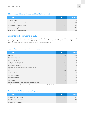#### **Effect of acquisitions on the consolidated balance sheet**

| <b>EUR million</b>                    | Q1 2018 | <b>FY 2017</b> |
|---------------------------------------|---------|----------------|
| Acquisition cost                      | 2.0     | 16.9           |
| Fair value of acquired net assets     |         | $-2.8$         |
| Book value of the acquired interest   | $-0.4$  | $-2.6$         |
| Recognised in equity                  | $-1.6$  | $-11.4$        |
| <b>Goodwill from the acquisitions</b> |         | 0.1            |

## **Discontinued operations in 2018**

On 16 January 2018, Sanoma announced an intention to divest its Belgian women's magazine portfolio to Roularta Media Group by the end of the second quarter of 2018. The operations were reclassified as discontinued operations. The income statement and cash flow statement are presented in the following two tables.

#### **Income Statement of discontinued operations**

| <b>EUR million</b>                                 | Q1 2018 | Q1 2017 |
|----------------------------------------------------|---------|---------|
| <b>Net sales</b>                                   | 17.9    | 19.3    |
| Other operating income                             | 3.7     | 0.0     |
| Materials and services                             | $-7.4$  | $-8.2$  |
| Employee benefit expenses                          | $-20.9$ | $-3.6$  |
| Other operating expenses                           | $-5.5$  | $-6.7$  |
| Depreciation, amortisation and impairment losses   | 0.0     | $-0.3$  |
| <b>EBIT</b>                                        | $-12.2$ | 0.4     |
| Financial income                                   |         | 0.0     |
| Financial expenses                                 | 0.0     | 0.0     |
| <b>Result before taxes</b>                         | $-12.2$ | 0.4     |
| Income taxes                                       | 3.6     | $-0.2$  |
| Result for the period from discontinued operations | $-8.7$  | 0.2     |

Result for the period from discontinued operations include restructuring provision of EUR 17.2 million.

#### **Cash flow related to discontinued operations**

| <b>EUR million</b>         | Q1 2018 | Q1 2017 |
|----------------------------|---------|---------|
| Cash flow from operations  | $-0.9$  | $-2.5$  |
| Cash flow from investments | 0.5     | 1.9     |
| Cash flow from financing   |         |         |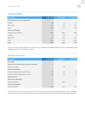#### **Contingent liabilities**

| <b>EUR million</b>                       | 31 Mar 2018 | 31 Mar 2017 | 31 Dec 2017 |
|------------------------------------------|-------------|-------------|-------------|
| <b>Contingencies for own commitments</b> |             |             |             |
| Pledges                                  | 1.5         | 2.4         | 1.5         |
| Other items                              | 15.0        | 25.0        | 24.7        |
| Total                                    | 16.5        | 27.4        | 26.2        |
| <b>Other commitments</b>                 |             |             |             |
| Operating lease liabilities              | 255.1       | 290.9       | 249.4       |
| Royalties                                | 5.7         | 12.6        | 7.8         |
| Other items                              | 50.5        | 69.4        | 49.3        |
| Total                                    | 311.4       | 373.0       | 306.4       |
| <b>Total</b>                             | 327.8       | 400.4       | 332.6       |

At the end of the reporting period, the commitments for acquisition of intangible assets (film and TV broadcasting rights included) were EUR 18.9 million (2017: 136.7).

#### **Derivative instruments**

| <b>EUR million</b>                                  | 31 Mar 2018 | 31 Mar 2017 | 31 Dec 2017 |
|-----------------------------------------------------|-------------|-------------|-------------|
| <b>Fair values</b>                                  |             |             |             |
| Interest rate derivatives (incl. accrued interests) |             |             |             |
| Interest rate swaps                                 |             | $-0.3$      |             |
| <b>Currency derivatives</b>                         |             |             |             |
| Forward contracts (positive fair values)            | 0.1         | 3.8         | 1.1         |
| Forward contracts (negative fair values)            | $-0.6$      | $-0.8$      | $-1.7$      |
| <b>Nominal values</b>                               |             |             |             |
| Interest rate derivatives                           |             |             |             |
| Interest rate swaps                                 |             | 100.0       |             |
| <b>Currency derivatives</b>                         |             |             |             |
| Forward contracts                                   | 43.9        | 80.7        | 66.4        |

The fair value of the foreign currency forward contracts is determined using forward exchange market rates at the balance sheet date. The fair value of the interest rate swaps is calculated as the present value of the estimated future cash flows.